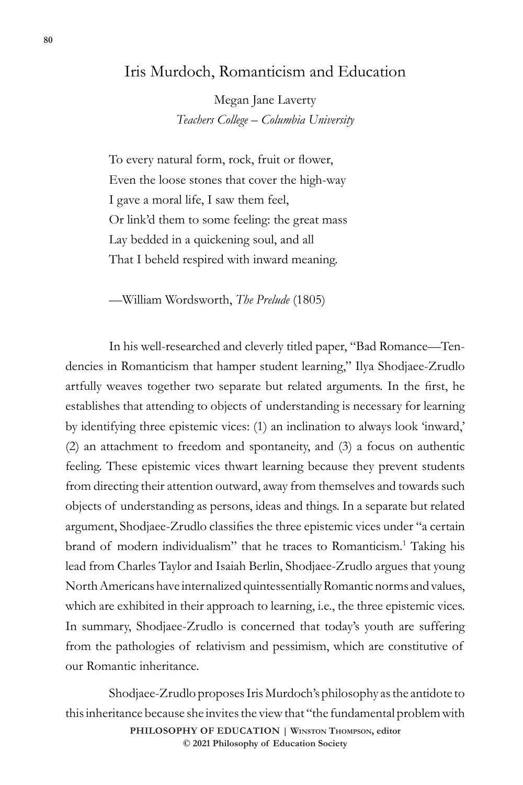## Iris Murdoch, Romanticism and Education

Megan Jane Laverty *Teachers College – Columbia University*

To every natural form, rock, fruit or flower, Even the loose stones that cover the high-way I gave a moral life, I saw them feel, Or link'd them to some feeling: the great mass Lay bedded in a quickening soul, and all That I beheld respired with inward meaning.

—William Wordsworth, *The Prelude* (1805)

In his well-researched and cleverly titled paper, "Bad Romance—Tendencies in Romanticism that hamper student learning," Ilya Shodjaee-Zrudlo artfully weaves together two separate but related arguments. In the first, he establishes that attending to objects of understanding is necessary for learning by identifying three epistemic vices: (1) an inclination to always look 'inward,' (2) an attachment to freedom and spontaneity, and (3) a focus on authentic feeling. These epistemic vices thwart learning because they prevent students from directing their attention outward, away from themselves and towards such objects of understanding as persons, ideas and things. In a separate but related argument, Shodjaee-Zrudlo classifies the three epistemic vices under "a certain brand of modern individualism" that he traces to Romanticism.<sup>1</sup> Taking his lead from Charles Taylor and Isaiah Berlin, Shodjaee-Zrudlo argues that young North Americans have internalized quintessentially Romantic norms and values, which are exhibited in their approach to learning, i.e., the three epistemic vices. In summary, Shodjaee-Zrudlo is concerned that today's youth are suffering from the pathologies of relativism and pessimism, which are constitutive of our Romantic inheritance.

**PHILOSOPHY OF EDUCATION | Winston Thompson, editor**  Shodjaee-Zrudlo proposes Iris Murdoch's philosophy as the antidote to this inheritance because she invites the view that "the fundamental problem with

**© 2021 Philosophy of Education Society**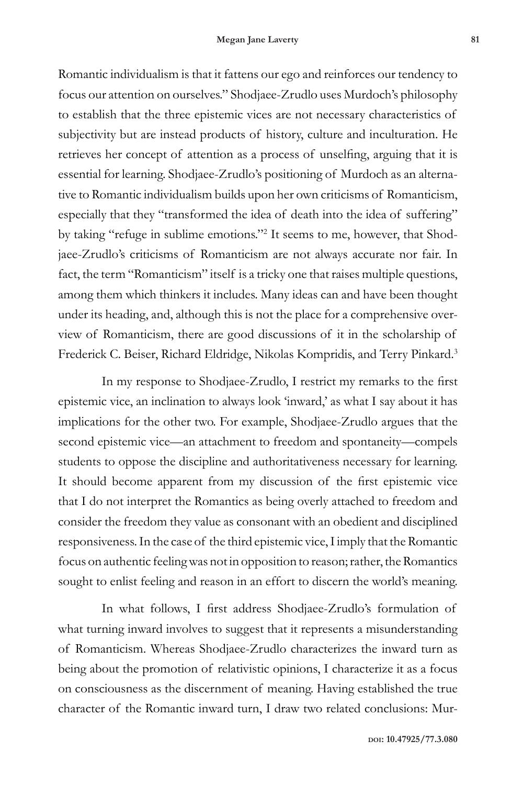Romantic individualism is that it fattens our ego and reinforces our tendency to focus our attention on ourselves." Shodjaee-Zrudlo uses Murdoch's philosophy to establish that the three epistemic vices are not necessary characteristics of subjectivity but are instead products of history, culture and inculturation. He retrieves her concept of attention as a process of unselfing, arguing that it is essential for learning. Shodjaee-Zrudlo's positioning of Murdoch as an alternative to Romantic individualism builds upon her own criticisms of Romanticism, especially that they "transformed the idea of death into the idea of suffering" by taking "refuge in sublime emotions."<sup>2</sup> It seems to me, however, that Shodjaee-Zrudlo's criticisms of Romanticism are not always accurate nor fair. In fact, the term "Romanticism" itself is a tricky one that raises multiple questions, among them which thinkers it includes. Many ideas can and have been thought under its heading, and, although this is not the place for a comprehensive overview of Romanticism, there are good discussions of it in the scholarship of Frederick C. Beiser, Richard Eldridge, Nikolas Kompridis, and Terry Pinkard.<sup>3</sup>

In my response to Shodjaee-Zrudlo, I restrict my remarks to the first epistemic vice, an inclination to always look 'inward,' as what I say about it has implications for the other two. For example, Shodjaee-Zrudlo argues that the second epistemic vice—an attachment to freedom and spontaneity—compels students to oppose the discipline and authoritativeness necessary for learning. It should become apparent from my discussion of the first epistemic vice that I do not interpret the Romantics as being overly attached to freedom and consider the freedom they value as consonant with an obedient and disciplined responsiveness. In the case of the third epistemic vice, I imply that the Romantic focus on authentic feeling was not in opposition to reason; rather, the Romantics sought to enlist feeling and reason in an effort to discern the world's meaning.

In what follows, I first address Shodjaee-Zrudlo's formulation of what turning inward involves to suggest that it represents a misunderstanding of Romanticism. Whereas Shodjaee-Zrudlo characterizes the inward turn as being about the promotion of relativistic opinions, I characterize it as a focus on consciousness as the discernment of meaning. Having established the true character of the Romantic inward turn, I draw two related conclusions: Mur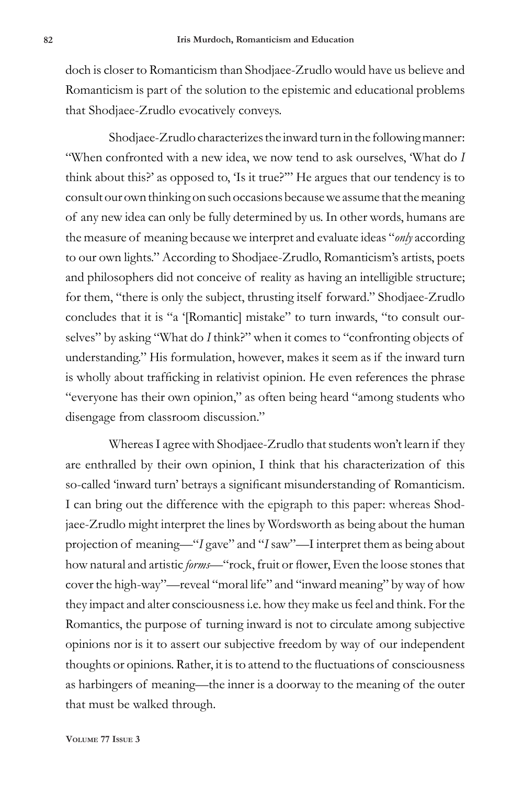doch is closer to Romanticism than Shodjaee-Zrudlo would have us believe and Romanticism is part of the solution to the epistemic and educational problems that Shodjaee-Zrudlo evocatively conveys.

Shodjaee-Zrudlo characterizes the inward turn in the following manner: "When confronted with a new idea, we now tend to ask ourselves, 'What do *I* think about this?' as opposed to, 'Is it true?'" He argues that our tendency is to consult our own thinking on such occasions because we assume that the meaning of any new idea can only be fully determined by us. In other words, humans are the measure of meaning because we interpret and evaluate ideas "*only* according to our own lights." According to Shodjaee-Zrudlo, Romanticism's artists, poets and philosophers did not conceive of reality as having an intelligible structure; for them, "there is only the subject, thrusting itself forward." Shodjaee-Zrudlo concludes that it is "a '[Romantic] mistake" to turn inwards, "to consult ourselves" by asking "What do *I* think?" when it comes to "confronting objects of understanding." His formulation, however, makes it seem as if the inward turn is wholly about trafficking in relativist opinion. He even references the phrase "everyone has their own opinion," as often being heard "among students who disengage from classroom discussion."

Whereas I agree with Shodjaee-Zrudlo that students won't learn if they are enthralled by their own opinion, I think that his characterization of this so-called 'inward turn' betrays a significant misunderstanding of Romanticism. I can bring out the difference with the epigraph to this paper: whereas Shodjaee-Zrudlo might interpret the lines by Wordsworth as being about the human projection of meaning—"*I* gave" and "*I* saw"—I interpret them as being about how natural and artistic *forms*—"rock, fruit or flower, Even the loose stones that cover the high-way"—reveal "moral life" and "inward meaning" by way of how they impact and alter consciousness i.e. how they make us feel and think. For the Romantics, the purpose of turning inward is not to circulate among subjective opinions nor is it to assert our subjective freedom by way of our independent thoughts or opinions. Rather, it is to attend to the fluctuations of consciousness as harbingers of meaning—the inner is a doorway to the meaning of the outer that must be walked through.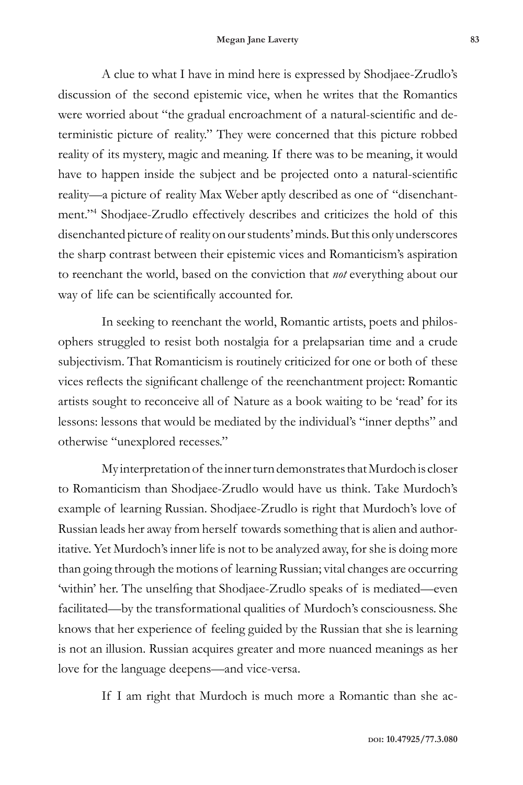A clue to what I have in mind here is expressed by Shodjaee-Zrudlo's discussion of the second epistemic vice, when he writes that the Romantics were worried about "the gradual encroachment of a natural-scientific and deterministic picture of reality." They were concerned that this picture robbed reality of its mystery, magic and meaning. If there was to be meaning, it would have to happen inside the subject and be projected onto a natural-scientific reality—a picture of reality Max Weber aptly described as one of "disenchantment."<sup>4</sup> Shodjaee-Zrudlo effectively describes and criticizes the hold of this disenchanted picture of reality on our students' minds. But this only underscores the sharp contrast between their epistemic vices and Romanticism's aspiration to reenchant the world, based on the conviction that *not* everything about our way of life can be scientifically accounted for.

In seeking to reenchant the world, Romantic artists, poets and philosophers struggled to resist both nostalgia for a prelapsarian time and a crude subjectivism. That Romanticism is routinely criticized for one or both of these vices reflects the significant challenge of the reenchantment project: Romantic artists sought to reconceive all of Nature as a book waiting to be 'read' for its lessons: lessons that would be mediated by the individual's "inner depths" and otherwise "unexplored recesses."

My interpretation of the inner turn demonstrates that Murdoch is closer to Romanticism than Shodjaee-Zrudlo would have us think. Take Murdoch's example of learning Russian. Shodjaee-Zrudlo is right that Murdoch's love of Russian leads her away from herself towards something that is alien and authoritative. Yet Murdoch's inner life is not to be analyzed away, for she is doing more than going through the motions of learning Russian; vital changes are occurring 'within' her. The unselfing that Shodjaee-Zrudlo speaks of is mediated—even facilitated—by the transformational qualities of Murdoch's consciousness. She knows that her experience of feeling guided by the Russian that she is learning is not an illusion. Russian acquires greater and more nuanced meanings as her love for the language deepens—and vice-versa.

If I am right that Murdoch is much more a Romantic than she ac-